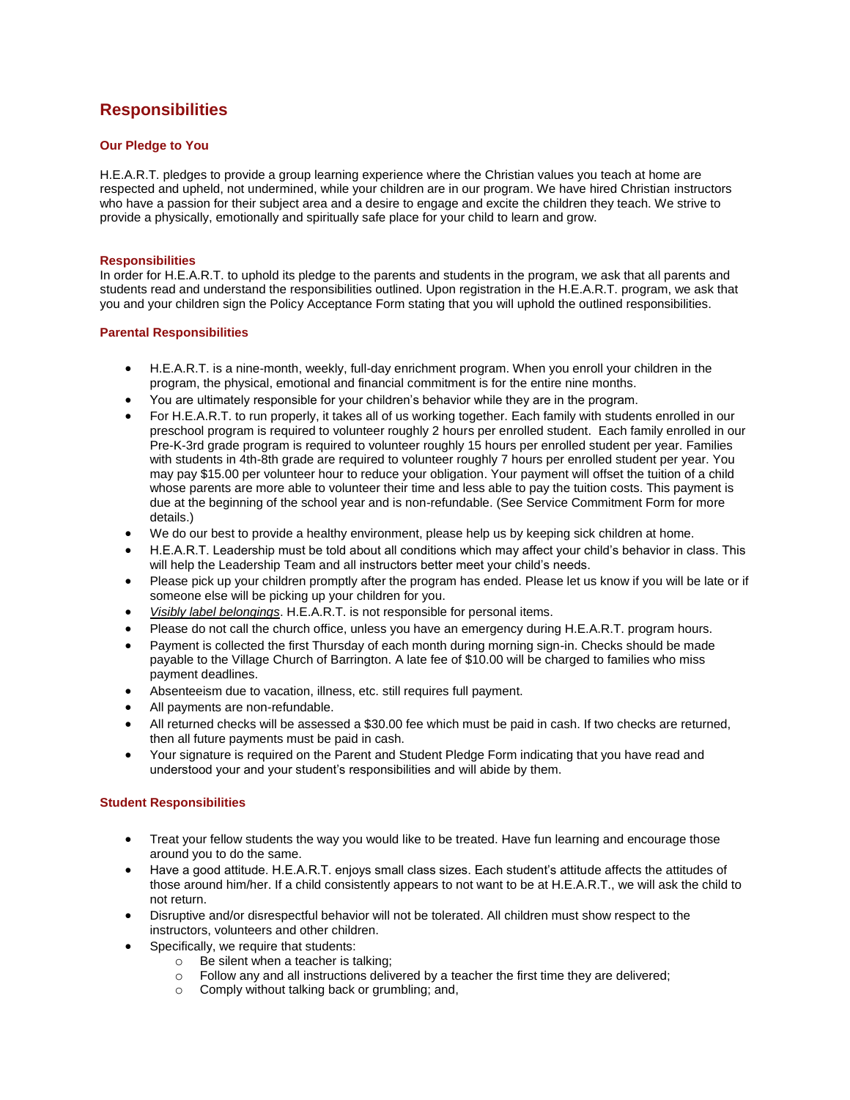# **Responsibilities**

## **Our Pledge to You**

H.E.A.R.T. pledges to provide a group learning experience where the Christian values you teach at home are respected and upheld, not undermined, while your children are in our program. We have hired Christian instructors who have a passion for their subject area and a desire to engage and excite the children they teach. We strive to provide a physically, emotionally and spiritually safe place for your child to learn and grow.

### **Responsibilities**

In order for H.E.A.R.T. to uphold its pledge to the parents and students in the program, we ask that all parents and students read and understand the responsibilities outlined. Upon registration in the H.E.A.R.T. program, we ask that you and your children sign the Policy Acceptance Form stating that you will uphold the outlined responsibilities.

#### **Parental Responsibilities**

- H.E.A.R.T. is a nine-month, weekly, full-day enrichment program. When you enroll your children in the program, the physical, emotional and financial commitment is for the entire nine months.
- You are ultimately responsible for your children's behavior while they are in the program.
- For H.E.A.R.T. to run properly, it takes all of us working together. Each family with students enrolled in our preschool program is required to volunteer roughly 2 hours per enrolled student. Each family enrolled in our Pre-K-3rd grade program is required to volunteer roughly 15 hours per enrolled student per year. Families with students in 4th-8th grade are required to volunteer roughly 7 hours per enrolled student per year. You may pay \$15.00 per volunteer hour to reduce your obligation. Your payment will offset the tuition of a child whose parents are more able to volunteer their time and less able to pay the tuition costs. This payment is due at the beginning of the school year and is non-refundable. (See Service Commitment Form for more details.)
- We do our best to provide a healthy environment, please help us by keeping sick children at home.
- H.E.A.R.T. Leadership must be told about all conditions which may affect your child's behavior in class. This will help the Leadership Team and all instructors better meet your child's needs.
- Please pick up your children promptly after the program has ended. Please let us know if you will be late or if someone else will be picking up your children for you.
- *Visibly label belongings*. H.E.A.R.T. is not responsible for personal items.
- Please do not call the church office, unless you have an emergency during H.E.A.R.T. program hours.
- Payment is collected the first Thursday of each month during morning sign-in. Checks should be made payable to the Village Church of Barrington. A late fee of \$10.00 will be charged to families who miss payment deadlines.
- Absenteeism due to vacation, illness, etc. still requires full payment.
- All payments are non-refundable.
- All returned checks will be assessed a \$30.00 fee which must be paid in cash. If two checks are returned, then all future payments must be paid in cash.
- Your signature is required on the Parent and Student Pledge Form indicating that you have read and understood your and your student's responsibilities and will abide by them.

### **Student Responsibilities**

- Treat your fellow students the way you would like to be treated. Have fun learning and encourage those around you to do the same.
- Have a good attitude. H.E.A.R.T. enjoys small class sizes. Each student's attitude affects the attitudes of those around him/her. If a child consistently appears to not want to be at H.E.A.R.T., we will ask the child to not return.
- Disruptive and/or disrespectful behavior will not be tolerated. All children must show respect to the instructors, volunteers and other children.
- Specifically, we require that students:
	- o Be silent when a teacher is talking;
	- $\circ$  Follow any and all instructions delivered by a teacher the first time they are delivered;
	- o Comply without talking back or grumbling; and,